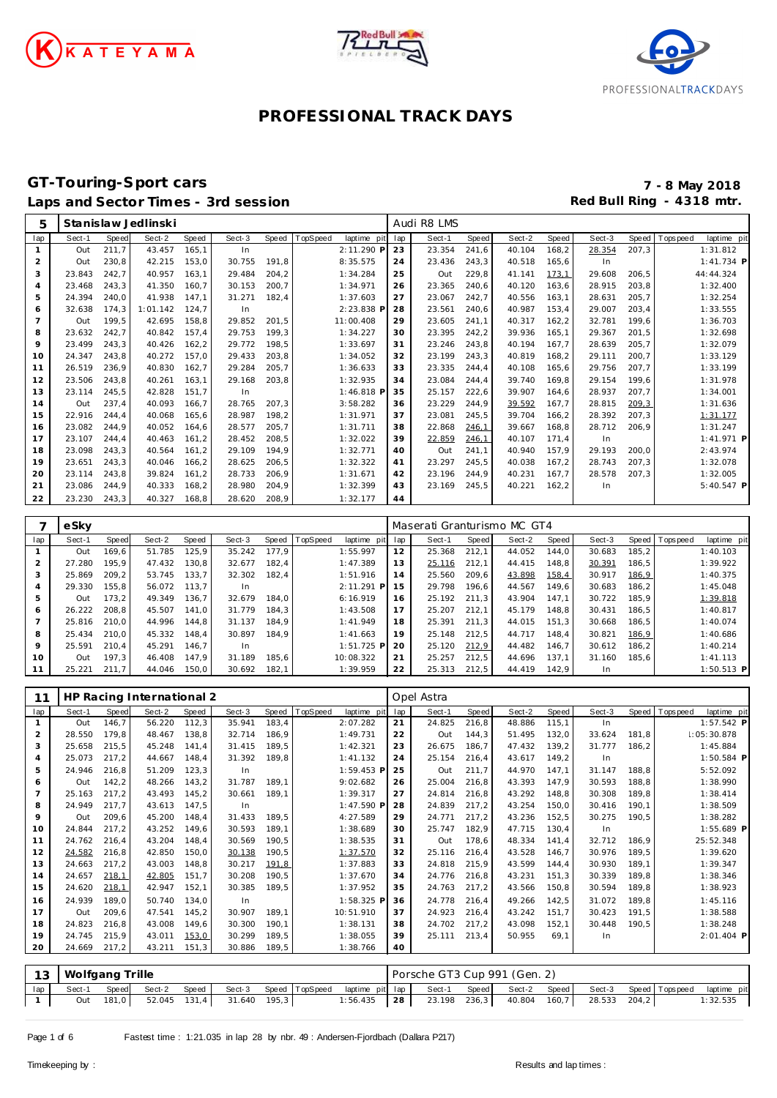





#### **GT-Touring-Sport cars 7 - 8 May 2018** Laps and Sector Times - 3rd session **Red Bull Ring - 4318 mtr. Red Bull Ring - 4318 mtr.**

| 5              |        |       | Stanislaw Jedlinski       |       |        |       |          |             |     | Audi R8 LMS                 |              |        |        |        |       |             |              |
|----------------|--------|-------|---------------------------|-------|--------|-------|----------|-------------|-----|-----------------------------|--------------|--------|--------|--------|-------|-------------|--------------|
| lap            | Sect-1 | Speed | Sect-2                    | Speed | Sect-3 | Speed | TopSpeed | laptime pit | lap | Sect-1                      | <b>Speed</b> | Sect-2 | Speed  | Sect-3 | Speed | T ops pee d | laptime pit  |
| $\mathbf{1}$   | Out    | 211,7 | 43.457                    | 165,1 | In     |       |          | 2:11.290 P  | 23  | 23.354                      | 241,6        | 40.104 | 168,2  | 28.354 | 207,3 |             | 1:31.812     |
| 2              | Out    | 230,8 | 42.215                    | 153,0 | 30.755 | 191,8 |          | 8:35.575    | 24  | 23.436                      | 243,3        | 40.518 | 165,6  | In     |       |             | $1:41.734$ P |
| 3              | 23.843 | 242,7 | 40.957                    | 163,1 | 29.484 | 204,2 |          | 1:34.284    | 25  | Out                         | 229,8        | 41.141 | 173,1  | 29.608 | 206,5 |             | 44:44.324    |
| 4              | 23.468 | 243,3 | 41.350                    | 160,7 | 30.153 | 200,7 |          | 1:34.971    | 26  | 23.365                      | 240,6        | 40.120 | 163,6  | 28.915 | 203,8 |             | 1:32.400     |
| 5              | 24.394 | 240,0 | 41.938                    | 147,1 | 31.271 | 182,4 |          | 1:37.603    | 27  | 23.067                      | 242,7        | 40.556 | 163,1  | 28.631 | 205,7 |             | 1:32.254     |
| 6              | 32.638 | 174,3 | 1:01.142                  | 124,7 | In     |       |          | 2:23.838 P  | 28  | 23.561                      | 240,6        | 40.987 | 153,4  | 29.007 | 203,4 |             | 1:33.555     |
| 7              | Out    | 199,5 | 42.695                    | 158,8 | 29.852 | 201,5 |          | 11:00.408   | 29  | 23.605                      | 241,1        | 40.317 | 162, 2 | 32.781 | 199,6 |             | 1:36.703     |
| 8              | 23.632 | 242,7 | 40.842                    | 157,4 | 29.753 | 199,3 |          | 1:34.227    | 30  | 23.395                      | 242,2        | 39.936 | 165,1  | 29.367 | 201,5 |             | 1:32.698     |
| 9              | 23.499 | 243,3 | 40.426                    | 162,2 | 29.772 | 198,5 |          | 1:33.697    | 31  | 23.246                      | 243,8        | 40.194 | 167,7  | 28.639 | 205,7 |             | 1:32.079     |
| 10             | 24.347 | 243,8 | 40.272                    | 157,0 | 29.433 | 203,8 |          | 1:34.052    | 32  | 23.199                      | 243,3        | 40.819 | 168,2  | 29.111 | 200,7 |             | 1:33.129     |
| 11             | 26.519 | 236,9 | 40.830                    | 162,7 | 29.284 | 205,7 |          | 1:36.633    | 33  | 23.335                      | 244,4        | 40.108 | 165,6  | 29.756 | 207,7 |             | 1:33.199     |
| 12             | 23.506 | 243,8 | 40.261                    | 163.1 | 29.168 | 203,8 |          | 1:32.935    | 34  | 23.084                      | 244,4        | 39.740 | 169,8  | 29.154 | 199.6 |             | 1:31.978     |
| 13             | 23.114 | 245,5 | 42.828                    | 151,7 | In     |       |          | 1:46.818 P  | 35  | 25.157                      | 222,6        | 39.907 | 164,6  | 28.937 | 207,7 |             | 1:34.001     |
| 14             | Out    | 237,4 | 40.093                    | 166,7 | 28.765 | 207,3 |          | 3:58.282    | 36  | 23.229                      | 244,9        | 39.592 | 167,7  | 28.815 | 209,3 |             | 1:31.636     |
| 15             | 22.916 | 244,4 | 40.068                    | 165,6 | 28.987 | 198,2 |          | 1:31.971    | 37  | 23.081                      | 245,5        | 39.704 | 166,2  | 28.392 | 207,3 |             | 1:31.177     |
| 16             | 23.082 | 244,9 | 40.052                    | 164,6 | 28.577 | 205,7 |          | 1:31.711    | 38  | 22.868                      | 246,1        | 39.667 | 168,8  | 28.712 | 206,9 |             | 1:31.247     |
| 17             | 23.107 | 244,4 | 40.463                    | 161,2 | 28.452 | 208,5 |          | 1:32.022    | 39  | 22.859                      | 246,1        | 40.107 | 171,4  | In     |       |             | 1:41.971 P   |
| 18             | 23.098 | 243,3 | 40.564                    | 161,2 | 29.109 | 194,9 |          | 1:32.771    | 40  | Out                         | 241,1        | 40.940 | 157,9  | 29.193 | 200,0 |             | 2:43.974     |
| 19             | 23.651 | 243,3 | 40.046                    | 166,2 | 28.625 | 206,5 |          | 1:32.322    | 41  | 23.297                      | 245,5        | 40.038 | 167,2  | 28.743 | 207,3 |             | 1:32.078     |
| 20             | 23.114 | 243,8 | 39.824                    | 161,2 | 28.733 | 206,9 |          | 1:31.671    | 42  | 23.196                      | 244,9        | 40.231 | 167,7  | 28.578 | 207,3 |             | 1:32.005     |
| 21             | 23.086 | 244,9 | 40.333                    | 168,2 | 28.980 | 204,9 |          | 1:32.399    | 43  | 23.169                      | 245,5        | 40.221 | 162,2  | In     |       |             | $5:40.547$ P |
| 22             | 23.230 | 243,3 | 40.327                    | 168.8 | 28.620 | 208,9 |          | 1:32.177    | 44  |                             |              |        |        |        |       |             |              |
|                |        |       |                           |       |        |       |          |             |     |                             |              |        |        |        |       |             |              |
| 7              | eSky   |       |                           |       |        |       |          |             |     | Maserati Granturismo MC GT4 |              |        |        |        |       |             |              |
| lap            | Sect-1 | Speed | Sect-2                    | Speed | Sect-3 | Speed | TopSpeed | laptime pit | lap | Sect-1                      | <b>Speed</b> | Sect-2 | Speed  | Sect-3 | Speed | T ops pee d | laptime pit  |
| $\mathbf{1}$   | Out    | 169,6 | 51.785                    | 125,9 | 35.242 | 177,9 |          | 1:55.997    | 12  | 25.368                      | 212,1        | 44.052 | 144,0  | 30.683 | 185,2 |             | 1:40.103     |
| $\overline{a}$ | 27.280 | 195,9 | 47.432                    | 130,8 | 32.677 | 182,4 |          | 1:47.389    | 13  | 25.116                      | 212,1        | 44.415 | 148,8  | 30.391 | 186,5 |             | 1:39.922     |
| 3              | 25.869 | 209,2 | 53.745                    | 133,7 | 32.302 | 182,4 |          | 1:51.916    | 14  | 25.560                      | 209,6        | 43.898 | 158,4  | 30.917 | 186,9 |             | 1:40.375     |
| $\overline{4}$ | 29.330 | 155,8 | 56.072                    | 113.7 | In     |       |          | 2:11.291 P  | 15  | 29.798                      | 196,6        | 44.567 | 149,6  | 30.683 | 186,2 |             | 1:45.048     |
| 5              | Out    | 173,2 | 49.349                    | 136,7 | 32.679 | 184,0 |          | 6:16.919    | 16  | 25.192                      | 211,3        | 43.904 | 147,1  | 30.722 | 185,9 |             | 1:39.818     |
| 6              | 26.222 | 208,8 | 45.507                    | 141,0 | 31.779 | 184,3 |          | 1:43.508    | 17  | 25.207                      | 212,1        | 45.179 | 148,8  | 30.431 | 186,5 |             | 1:40.817     |
| $\overline{7}$ | 25.816 | 210.0 | 44.996                    | 144.8 | 31.137 | 184,9 |          | 1:41.949    | 18  | 25.391                      | 211,3        | 44.015 | 151,3  | 30.668 | 186,5 |             | 1:40.074     |
| 8              | 25.434 | 210,0 | 45.332                    | 148,4 | 30.897 | 184,9 |          | 1:41.663    | 19  | 25.148                      | 212,5        | 44.717 | 148,4  | 30.821 | 186,9 |             | 1:40.686     |
| 9              | 25.591 | 210,4 | 45.291                    | 146,7 | In     |       |          | 1:51.725 P  | 20  | 25.120                      | 212,9        | 44.482 | 146,7  | 30.612 | 186,2 |             | 1:40.214     |
| 10             | Out    | 197,3 | 46.408                    | 147,9 | 31.189 | 185,6 |          | 10:08.322   | 21  | 25.257                      | 212,5        | 44.696 | 137,1  | 31.160 | 185,6 |             | 1:41.113     |
| 11             | 25.221 | 211,7 | 44.046                    | 150,0 | 30.692 | 182,1 |          | 1:39.959    | 22  | 25.313                      | 212,5        | 44.419 | 142,9  | In     |       |             | 1:50.513 P   |
|                |        |       |                           |       |        |       |          |             |     |                             |              |        |        |        |       |             |              |
| 11             |        |       | HD Dacing International 2 |       |        |       |          |             |     | Onal Actra                  |              |        |        |        |       |             |              |

|     |        |        | HP Racing International 2 |       |        |       |          |             |     | Opel Astra |       |        |       |        |       |                |              |
|-----|--------|--------|---------------------------|-------|--------|-------|----------|-------------|-----|------------|-------|--------|-------|--------|-------|----------------|--------------|
| lap | Sect-1 | Speed  | Sect-2                    | Speed | Sect-3 | Speed | TopSpeed | laptime pit | lap | Sect-1     | Speed | Sect-2 | Speed | Sect-3 |       | Speed Topspeed | laptime pit  |
|     | Out    | 146.7  | 56.220                    | 112,3 | 35.941 | 183,4 |          | 2:07.282    | 21  | 24.825     | 216,8 | 48.886 | 115,1 | In     |       |                | $1:57.542$ P |
| 2   | 28.550 | 179,8  | 48.467                    | 138,8 | 32.714 | 186,9 |          | 1:49.731    | 22  | Out        | 144,3 | 51.495 | 132,0 | 33.624 | 181,8 |                | 1:05:30.878  |
| 3   | 25.658 | 215,5  | 45.248                    | 141.4 | 31.415 | 189,5 |          | 1:42.321    | 23  | 26.675     | 186.7 | 47.432 | 139,2 | 31.777 | 186,2 |                | 1:45.884     |
| 4   | 25.073 | 217,2  | 44.667                    | 148,4 | 31.392 | 189,8 |          | 1:41.132    | 24  | 25.154     | 216,4 | 43.617 | 149,2 | In     |       |                | $1:50.584$ P |
| 5   | 24.946 | 216,8  | 51.209                    | 123,3 | In     |       |          | 1:59.453 P  | 25  | Out        | 211,7 | 44.970 | 147,1 | 31.147 | 188,8 |                | 5:52.092     |
| 6   | Out    | 142, 2 | 48.266                    | 143,2 | 31.787 | 189,1 |          | 9:02.682    | 26  | 25.004     | 216,8 | 43.393 | 147.9 | 30.593 | 188,8 |                | 1:38.990     |
|     | 25.163 | 217,2  | 43.493                    | 145,2 | 30.661 | 189,1 |          | 1:39.317    | 27  | 24.814     | 216,8 | 43.292 | 148,8 | 30.308 | 189,8 |                | 1:38.414     |
| 8   | 24.949 | 217.7  | 43.613                    | 147,5 | In     |       |          | 1:47.590 P  | 28  | 24.839     | 217,2 | 43.254 | 150,0 | 30.416 | 190,1 |                | 1:38.509     |
| 9   | Out    | 209,6  | 45.200                    | 148.4 | 31.433 | 189,5 |          | 4:27.589    | 29  | 24.771     | 217,2 | 43.236 | 152,5 | 30.275 | 190,5 |                | 1:38.282     |
| 10  | 24.844 | 217,2  | 43.252                    | 149,6 | 30.593 | 189,1 |          | 1:38.689    | 30  | 25.747     | 182,9 | 47.715 | 130,4 | In.    |       |                | 1:55.689 P   |
| 11  | 24.762 | 216,4  | 43.204                    | 148.4 | 30.569 | 190,5 |          | 1:38.535    | 31  | Out        | 178,6 | 48.334 | 141,4 | 32.712 | 186,9 |                | 25:52.348    |
| 12  | 24.582 | 216,8  | 42.850                    | 150,0 | 30.138 | 190,5 |          | 1:37.570    | 32  | 25.116     | 216,4 | 43.528 | 146,7 | 30.976 | 189,5 |                | 1:39.620     |
| 13  | 24.663 | 217,2  | 43.003                    | 148,8 | 30.217 | 191,8 |          | 1:37.883    | 33  | 24.818     | 215,9 | 43.599 | 144,4 | 30.930 | 189,1 |                | 1:39.347     |
| 14  | 24.657 | 218,1  | 42.805                    | 151,7 | 30.208 | 190,5 |          | 1:37.670    | 34  | 24.776     | 216,8 | 43.231 | 151,3 | 30.339 | 189,8 |                | 1:38.346     |
| 15  | 24.620 | 218,1  | 42.947                    | 152,1 | 30.385 | 189,5 |          | 1:37.952    | 35  | 24.763     | 217,2 | 43.566 | 150,8 | 30.594 | 189,8 |                | 1:38.923     |
| 16  | 24.939 | 189,0  | 50.740                    | 134,0 | In     |       |          | 1:58.325 P  | 36  | 24.778     | 216,4 | 49.266 | 142,5 | 31.072 | 189,8 |                | 1:45.116     |
| 17  | Out    | 209,6  | 47.541                    | 145,2 | 30.907 | 189,1 |          | 10:51.910   | 37  | 24.923     | 216,4 | 43.242 | 151,7 | 30.423 | 191,5 |                | 1:38.588     |
| 18  | 24.823 | 216,8  | 43.008                    | 149.6 | 30.300 | 190,1 |          | 1:38.131    | 38  | 24.702     | 217,2 | 43.098 | 152,1 | 30.448 | 190,5 |                | 1:38.248     |
| 19  | 24.745 | 215,9  | 43.011                    | 153,0 | 30.299 | 189,5 |          | 1:38.055    | 39  | 25.111     | 213,4 | 50.955 | 69.1  | In.    |       |                | 2:01.404 P   |
| 20  | 24.669 | 217,2  | 43.211                    | 151,3 | 30.886 | 189,5 |          | 1:38.766    | 40  |            |       |        |       |        |       |                |              |

|     | 13 Wolfgang Trille |                    |                                     |  |                                                              | Porsche GT3 Cup 991 (Gen. 2) |                                          |  |  |             |
|-----|--------------------|--------------------|-------------------------------------|--|--------------------------------------------------------------|------------------------------|------------------------------------------|--|--|-------------|
| lap | Sect-1             | Speed Sect-2 Speed |                                     |  | Sect-3 Speed TopSpeed laptime pit lap                        | Sect-1                       | Speed Sect-2 Speed Sect-3 Speed Topspeed |  |  | laptime pit |
|     |                    |                    | Out 181,0 52.045 131,4 31.640 195,3 |  | $1:56.435$   28   23.198 236,3   40.804 160,7   28.533 204,2 |                              |                                          |  |  | 1:32.535    |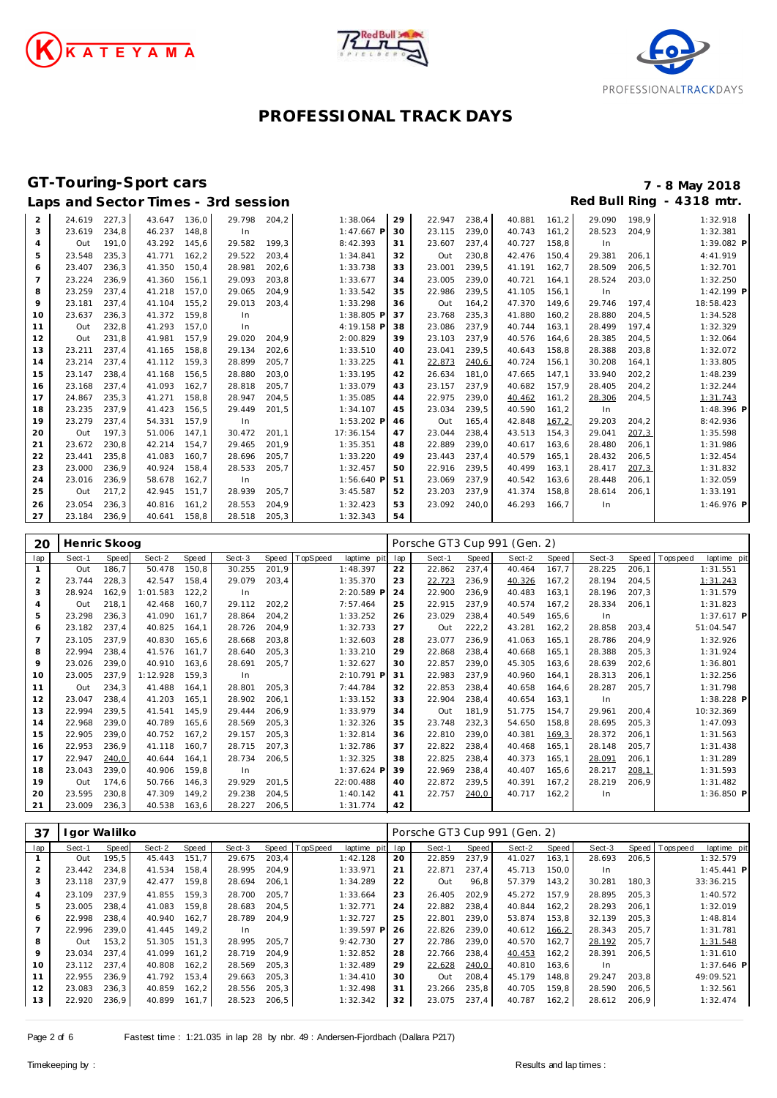





## Laps and Sector Times - 3rd session

# **GT-Touring-Sport cars 7 - 8 May 2018**

| 2  | 24.619 | 227,3 | 43.647 | 136,0 | 29.798 | 204,2 | 1:38.064     | 29 | 22.947 | 238,4 | 40.881 | 161, 2 | 29.090 | 198,9 | 1:32.918     |
|----|--------|-------|--------|-------|--------|-------|--------------|----|--------|-------|--------|--------|--------|-------|--------------|
| 3  | 23.619 | 234,8 | 46.237 | 148.8 | In     |       | $1:47.667$ P | 30 | 23.115 | 239.0 | 40.743 | 161.2  | 28.523 | 204.9 | 1:32.381     |
| 4  | Out    | 191.0 | 43.292 | 145.6 | 29.582 | 199,3 | 8:42.393     | 31 | 23.607 | 237,4 | 40.727 | 158.8  | In     |       | 1:39.082 P   |
| 5  | 23.548 | 235,3 | 41.771 | 162.2 | 29.522 | 203.4 | 1:34.841     | 32 | Out    | 230,8 | 42.476 | 150.4  | 29.381 | 206.1 | 4:41.919     |
| 6  | 23.407 | 236,3 | 41.350 | 150,4 | 28.981 | 202,6 | 1:33.738     | 33 | 23.001 | 239,5 | 41.191 | 162,7  | 28.509 | 206,5 | 1:32.701     |
| 7  | 23.224 | 236,9 | 41.360 | 156.1 | 29.093 | 203,8 | 1:33.677     | 34 | 23.005 | 239,0 | 40.721 | 164,1  | 28.524 | 203,0 | 1:32.250     |
| 8  | 23.259 | 237.4 | 41.218 | 157.0 | 29.065 | 204,9 | 1:33.542     | 35 | 22.986 | 239,5 | 41.105 | 156.1  | In     |       | 1:42.199 P   |
| 9  | 23.181 | 237,4 | 41.104 | 155,2 | 29.013 | 203,4 | 1:33.298     | 36 | Out    | 164,2 | 47.370 | 149,6  | 29.746 | 197.4 | 18:58.423    |
| 10 | 23.637 | 236,3 | 41.372 | 159.8 | In     |       | 1:38.805 P   | 37 | 23.768 | 235,3 | 41.880 | 160,2  | 28.880 | 204,5 | 1:34.528     |
| 11 | Out    | 232,8 | 41.293 | 157.0 | In     |       | 4:19.158 P   | 38 | 23.086 | 237,9 | 40.744 | 163,1  | 28.499 | 197,4 | 1:32.329     |
| 12 | Out    | 231,8 | 41.981 | 157.9 | 29.020 | 204,9 | 2:00.829     | 39 | 23.103 | 237,9 | 40.576 | 164,6  | 28.385 | 204,5 | 1:32.064     |
| 13 | 23.211 | 237.4 | 41.165 | 158,8 | 29.134 | 202,6 | 1:33.510     | 40 | 23.041 | 239,5 | 40.643 | 158,8  | 28.388 | 203,8 | 1:32.072     |
| 14 | 23.214 | 237.4 | 41.112 | 159.3 | 28.899 | 205,7 | 1:33.225     | 41 | 22.873 | 240,6 | 40.724 | 156,1  | 30.208 | 164,1 | 1:33.805     |
| 15 | 23.147 | 238.4 | 41.168 | 156.5 | 28.880 | 203.0 | 1:33.195     | 42 | 26.634 | 181.0 | 47.665 | 147.1  | 33.940 | 202,2 | 1:48.239     |
| 16 | 23.168 | 237,4 | 41.093 | 162,7 | 28.818 | 205,7 | 1:33.079     | 43 | 23.157 | 237,9 | 40.682 | 157,9  | 28.405 | 204,2 | 1:32.244     |
| 17 | 24.867 | 235,3 | 41.271 | 158.8 | 28.947 | 204,5 | 1:35.085     | 44 | 22.975 | 239,0 | 40.462 | 161, 2 | 28.306 | 204,5 | 1:31.743     |
| 18 | 23.235 | 237,9 | 41.423 | 156.5 | 29.449 | 201,5 | 1:34.107     | 45 | 23.034 | 239,5 | 40.590 | 161,2  | In     |       | $1:48.396$ P |
| 19 | 23.279 | 237.4 | 54.331 | 157.9 | In     |       | 1:53.202 P   | 46 | Out    | 165.4 | 42.848 | 167,2  | 29.203 | 204,2 | 8:42.936     |
| 20 | Out    | 197.3 | 51.006 | 147.1 | 30.472 | 201.1 | 17:36.154    | 47 | 23.044 | 238,4 | 43.513 | 154,3  | 29.041 | 207,3 | 1:35.598     |
| 21 | 23.672 | 230,8 | 42.214 | 154.7 | 29.465 | 201.9 | 1:35.351     | 48 | 22.889 | 239.0 | 40.617 | 163,6  | 28.480 | 206,1 | 1:31.986     |
| 22 | 23.441 | 235.8 | 41.083 | 160.7 | 28.696 | 205,7 | 1:33.220     | 49 | 23.443 | 237,4 | 40.579 | 165.1  | 28.432 | 206,5 | 1:32.454     |
| 23 | 23.000 | 236,9 | 40.924 | 158.4 | 28.533 | 205,7 | 1:32.457     | 50 | 22.916 | 239,5 | 40.499 | 163,1  | 28.417 | 207,3 | 1:31.832     |
| 24 | 23.016 | 236,9 | 58.678 | 162,7 | In     |       | 1:56.640 P   | 51 | 23.069 | 237,9 | 40.542 | 163,6  | 28.448 | 206,1 | 1:32.059     |
| 25 | Out    | 217,2 | 42.945 | 151,7 | 28.939 | 205,7 | 3:45.587     | 52 | 23.203 | 237,9 | 41.374 | 158,8  | 28.614 | 206.1 | 1:33.191     |
| 26 | 23.054 | 236,3 | 40.816 | 161,2 | 28.553 | 204,9 | 1:32.423     | 53 | 23.092 | 240.0 | 46.293 | 166.7  | In     |       | 1:46.976 P   |
| 27 | 23.184 | 236,9 | 40.641 | 158,8 | 28.518 | 205,3 | 1:32.343     | 54 |        |       |        |        |        |       |              |

| 20  | Henric Skoog |              |          |       |        |        |          |             |     | Porsche GT3 Cup 991 (Gen. 2) |       |        |        |        |       |             |             |
|-----|--------------|--------------|----------|-------|--------|--------|----------|-------------|-----|------------------------------|-------|--------|--------|--------|-------|-------------|-------------|
| lap | Sect-1       | <b>Speed</b> | Sect-2   | Speed | Sect-3 | Speed  | TopSpeed | laptime pit | lap | Sect-1                       | Speed | Sect-2 | Speed  | Sect-3 | Speed | T ops pee d | laptime pit |
|     | Out          | 186,7        | 50.478   | 150,8 | 30.255 | 201,9  |          | 1:48.397    | 22  | 22.862                       | 237,4 | 40.464 | 167,7  | 28.225 | 206,1 |             | 1:31.551    |
| 2   | 23.744       | 228,3        | 42.547   | 158,4 | 29.079 | 203,4  |          | 1:35.370    | 23  | 22.723                       | 236,9 | 40.326 | 167,2  | 28.194 | 204,5 |             | 1:31.243    |
| 3   | 28.924       | 162,9        | 1:01.583 | 122.2 | In     |        |          | 2:20.589 P  | 24  | 22.900                       | 236,9 | 40.483 | 163.1  | 28.196 | 207,3 |             | 1:31.579    |
| 4   | Out          | 218,1        | 42.468   | 160.7 | 29.112 | 202, 2 |          | 7:57.464    | 25  | 22.915                       | 237,9 | 40.574 | 167,2  | 28.334 | 206,1 |             | 1:31.823    |
| 5   | 23.298       | 236,3        | 41.090   | 161.7 | 28.864 | 204,2  |          | 1:33.252    | 26  | 23.029                       | 238,4 | 40.549 | 165,6  | In     |       |             | 1:37.617 P  |
| 6   | 23.182       | 237,4        | 40.825   | 164,1 | 28.726 | 204,9  |          | 1:32.733    | 27  | Out                          | 222,2 | 43.281 | 162, 2 | 28.858 | 203,4 |             | 51:04.547   |
|     | 23.105       | 237,9        | 40.830   | 165,6 | 28.668 | 203,8  |          | 1:32.603    | 28  | 23.077                       | 236,9 | 41.063 | 165.1  | 28.786 | 204,9 |             | 1:32.926    |
| 8   | 22.994       | 238,4        | 41.576   | 161.7 | 28.640 | 205,3  |          | 1:33.210    | 29  | 22.868                       | 238,4 | 40.668 | 165.1  | 28.388 | 205,3 |             | 1:31.924    |
| 9   | 23.026       | 239,0        | 40.910   | 163.6 | 28.691 | 205,7  |          | 1:32.627    | 30  | 22.857                       | 239,0 | 45.305 | 163.6  | 28.639 | 202,6 |             | 1:36.801    |
| 10  | 23.005       | 237,9        | 1:12.928 | 159,3 | In     |        |          | 2:10.791 P  | 31  | 22.983                       | 237,9 | 40.960 | 164,1  | 28.313 | 206,1 |             | 1:32.256    |
| 11  | Out          | 234,3        | 41.488   | 164.1 | 28.801 | 205,3  |          | 7:44.784    | 32  | 22.853                       | 238,4 | 40.658 | 164,6  | 28.287 | 205,7 |             | 1:31.798    |
| 12  | 23.047       | 238,4        | 41.203   | 165.1 | 28.902 | 206,1  |          | 1:33.152    | 33  | 22.904                       | 238,4 | 40.654 | 163.1  | In     |       |             | 1:38.228 P  |
| 13  | 22.994       | 239,5        | 41.541   | 145,9 | 29.444 | 206,9  |          | 1:33.979    | 34  | Out                          | 181,9 | 51.775 | 154,7  | 29.961 | 200,4 |             | 10:32.369   |
| 14  | 22.968       | 239,0        | 40.789   | 165,6 | 28.569 | 205,3  |          | 1:32.326    | 35  | 23.748                       | 232,3 | 54.650 | 158,8  | 28.695 | 205,3 |             | 1:47.093    |
| 15  | 22.905       | 239,0        | 40.752   | 167,2 | 29.157 | 205,3  |          | 1:32.814    | 36  | 22.810                       | 239.0 | 40.381 | 169.3  | 28.372 | 206,1 |             | 1:31.563    |
| 16  | 22.953       | 236,9        | 41.118   | 160,7 | 28.715 | 207,3  |          | 1:32.786    | 37  | 22.822                       | 238,4 | 40.468 | 165,1  | 28.148 | 205,7 |             | 1:31.438    |
| 17  | 22.947       | 240,0        | 40.644   | 164.1 | 28.734 | 206,5  |          | 1:32.325    | 38  | 22.825                       | 238,4 | 40.373 | 165.1  | 28.091 | 206,1 |             | 1:31.289    |
| 18  | 23.043       | 239,0        | 40.906   | 159,8 | In     |        |          | 1:37.624 P  | 39  | 22.969                       | 238,4 | 40.407 | 165,6  | 28.217 | 208,1 |             | 1:31.593    |
| 19  | Out          | 174.6        | 50.766   | 146.3 | 29.929 | 201,5  |          | 22:00.488   | 40  | 22.872                       | 239.5 | 40.391 | 167,2  | 28.219 | 206,9 |             | 1:31.482    |
| 20  | 23.595       | 230,8        | 47.309   | 149,2 | 29.238 | 204,5  |          | 1:40.142    | 41  | 22.757                       | 240,0 | 40.717 | 162, 2 | In     |       |             | 1:36.850 P  |
| 21  | 23.009       | 236,3        | 40.538   | 163,6 | 28.227 | 206, 5 |          | 1:31.774    | 42  |                              |       |        |        |        |       |             |             |

| 37             |        | l gor Walilko |        |        |        |        |                |              |     | Porsche GT3 Cup 991 (Gen. 2) |       |        |        |        |       |                |              |  |
|----------------|--------|---------------|--------|--------|--------|--------|----------------|--------------|-----|------------------------------|-------|--------|--------|--------|-------|----------------|--------------|--|
| lap            | Sect-1 | Speed         | Sect-2 | Speed  | Sect-3 |        | Speed TopSpeed | laptime pit  | lap | Sect-1                       | Speed | Sect-2 | Speed  | Sect-3 |       | Speed Topspeed | laptime pit  |  |
|                | Out    | 195,5         | 45.443 | 151.7  | 29.675 | 203,4  |                | 1:42.128     | 20  | 22.859                       | 237.9 | 41.027 | 163,1  | 28.693 | 206,5 |                | 1:32.579     |  |
| $\overline{2}$ | 23.442 | 234.8         | 41.534 | 158.4  | 28.995 | 204,9  |                | 1:33.971     | 21  | 22.871                       | 237,4 | 45.713 | 150,0  | In.    |       |                | $1:45.441$ P |  |
| 3              | 23.118 | 237.9         | 42.477 | 159.8  | 28.694 | 206,1  |                | 1:34.289     | 22  | Out                          | 96,8  | 57.379 | 143,2  | 30.281 | 180,3 |                | 33:36.215    |  |
| 4              | 23.109 | 237.9         | 41.855 | 159.3  | 28.700 | 205.7  |                | 1:33.664     | 23  | 26.405                       | 202,9 | 45.272 | 157.9  | 28.895 | 205,3 |                | 1:40.572     |  |
| 5              | 23.005 | 238.4         | 41.083 | 159.8  | 28.683 | 204.5  |                | 1:32.771     | 24  | 22.882                       | 238.4 | 40.844 | 162.2  | 28.293 | 206.1 |                | 1:32.019     |  |
| 6              | 22.998 | 238.4         | 40.940 | 162.7  | 28.789 | 204.9  |                | 1:32.727     | 25  | 22.801                       | 239.0 | 53.874 | 153,8  | 32.139 | 205,3 |                | 1:48.814     |  |
| $\overline{7}$ | 22.996 | 239.0         | 41.445 | 149.2  | In.    |        |                | $1:39.597$ P | 26  | 22.826                       | 239,0 | 40.612 | 166,2  | 28.343 | 205,7 |                | 1:31.781     |  |
| 8              | Out    | 153.2         | 51.305 | 151.3  | 28.995 | 205.7  |                | 9:42.730     | 27  | 22.786                       | 239.0 | 40.570 | 162.7  | 28.192 | 205.7 |                | 1:31.548     |  |
| 9              | 23.034 | 237.4         | 41.099 | 161.2  | 28.719 | 204.9  |                | 1:32.852     | 28  | 22.766                       | 238.4 | 40.453 | 162, 2 | 28.391 | 206.5 |                | 1:31.610     |  |
| 10             | 23.112 | 237.4         | 40.808 | 162, 2 | 28.569 | 205,3  |                | 1:32.489     | 29  | 22.628                       | 240,0 | 40.810 | 163,6  | In.    |       |                | $1:37.646$ P |  |
| 11             | 22.955 | 236.9         | 41.792 | 153.4  | 29.663 | 205.3  |                | 1:34.410     | 30  | Out                          | 208.4 | 45.179 | 148.8  | 29.247 | 203.8 |                | 49:09.521    |  |
| 12             | 23.083 | 236,3         | 40.859 | 162.2  | 28.556 | 205,3  |                | 1:32.498     | 31  | 23.266                       | 235,8 | 40.705 | 159.8  | 28.590 | 206,5 |                | 1:32.561     |  |
| 13             | 22.920 | 236,9         | 40.899 | 161.7  | 28.523 | 206, 5 |                | 1:32.342     | 32  | 23.075                       | 237,4 | 40.787 | 162,2  | 28.612 | 206,9 |                | 1:32.474     |  |
|                |        |               |        |        |        |        |                |              |     |                              |       |        |        |        |       |                |              |  |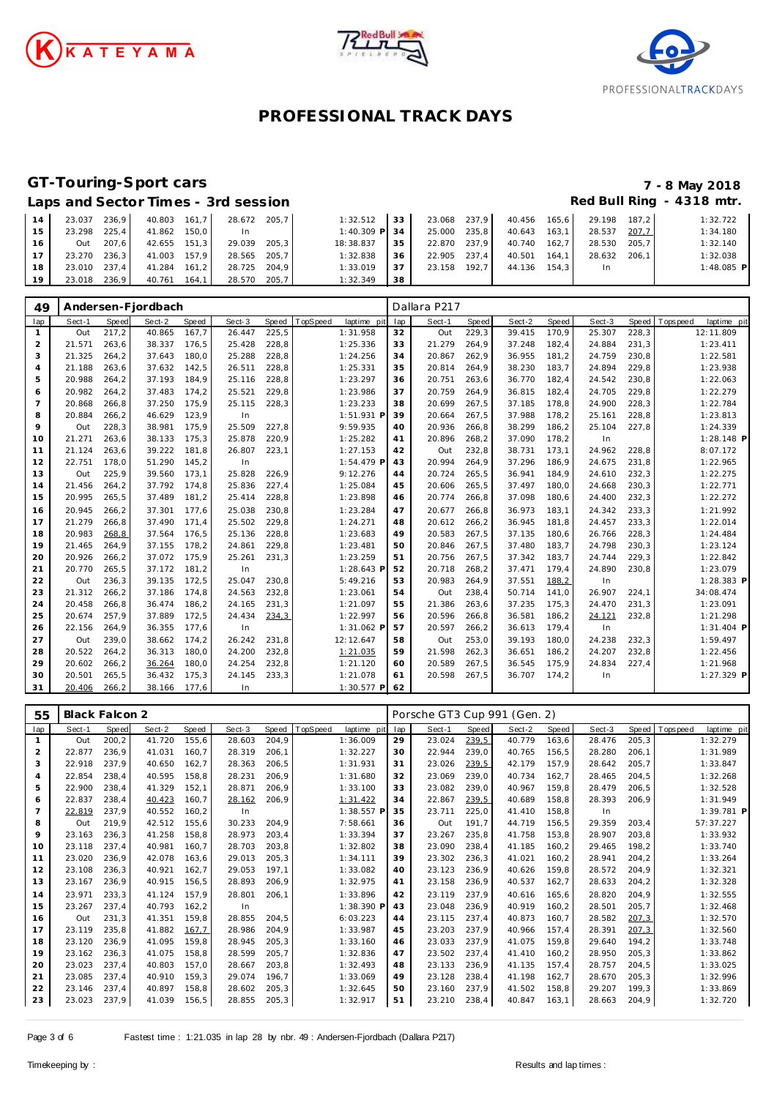





### **GT-Touring-Sport cars 7 - 8 May 2018**

| Laps and Sector Times - 3rd session | Red Bull Ring - 4318 mtr. |
|-------------------------------------|---------------------------|
|-------------------------------------|---------------------------|

| 14 | 23.037       | 236.9 | 40.803 161.7 | 28.672 205.7 |       | 1:32.512      | 33  | 23.068 237.9 |       | 40.456 | 165.6   | 29.198 | 187.2 | 1:32.722     |
|----|--------------|-------|--------------|--------------|-------|---------------|-----|--------------|-------|--------|---------|--------|-------|--------------|
| 15 | 23.298 225.4 |       | 41.862 150.0 | In.          |       | 1:40.309 P 34 |     | 25.000 235.8 |       | 40.643 | 163.1   | 28.537 | 207,7 | 1:34.180     |
| 16 | Out          | 207.6 | 42.655 151.3 | 29.039       | 205.3 | 18:38.837     | 35  | 22.870 237.9 |       | 40.740 | 162.7   | 28.530 | 205.7 | 1:32.140     |
| 17 | 23.270 236.3 |       | 41.003 157.9 | 28.565       | 205.7 | 1:32.838      | -36 | 22.905 237.4 |       | 40.501 | 164.1   | 28.632 | 206.1 | 1:32.038     |
| 18 | 23.010 237.4 |       | 41.284 161.2 | 28.725       | 204.9 | 1:33.019      | 37  | 23.158       | 192.7 | 44.136 | $154.3$ | In.    |       | $1:48.085$ P |
| 19 | 23.018 236,9 |       | 40.761 164,1 | 28.570 205,7 |       | 1:32.349      | -38 |              |       |        |         |        |       |              |

| 49             |        |       | Andersen-Fjordbach |       |        |       |          |              |     | Dallara P217 |       |        |       |        |       |             |              |
|----------------|--------|-------|--------------------|-------|--------|-------|----------|--------------|-----|--------------|-------|--------|-------|--------|-------|-------------|--------------|
| lap            | Sect-1 | Speed | Sect-2             | Speed | Sect-3 | Speed | TopSpeed | laptime pit  | lap | Sect-1       | Speed | Sect-2 | Speed | Sect-3 | Speed | T ops pee d | laptime pit  |
| $\mathbf{1}$   | Out    | 217,2 | 40.865             | 167.7 | 26.447 | 225,5 |          | 1:31.958     | 32  | Out          | 229,3 | 39.415 | 170.9 | 25.307 | 228,3 |             | 12:11.809    |
| 2              | 21.571 | 263,6 | 38.337             | 176,5 | 25.428 | 228,8 |          | 1:25.336     | 33  | 21.279       | 264,9 | 37.248 | 182,4 | 24.884 | 231,3 |             | 1:23.411     |
| 3              | 21.325 | 264,2 | 37.643             | 180,0 | 25.288 | 228,8 |          | 1:24.256     | 34  | 20.867       | 262,9 | 36.955 | 181,2 | 24.759 | 230,8 |             | 1:22.581     |
| $\overline{4}$ | 21.188 | 263,6 | 37.632             | 142,5 | 26.511 | 228,8 |          | 1:25.331     | 35  | 20.814       | 264,9 | 38.230 | 183,7 | 24.894 | 229,8 |             | 1:23.938     |
| 5              | 20.988 | 264,2 | 37.193             | 184,9 | 25.116 | 228,8 |          | 1:23.297     | 36  | 20.751       | 263,6 | 36.770 | 182,4 | 24.542 | 230,8 |             | 1:22.063     |
| 6              | 20.982 | 264,2 | 37.483             | 174,2 | 25.521 | 229,8 |          | 1:23.986     | 37  | 20.759       | 264,9 | 36.815 | 182,4 | 24.705 | 229,8 |             | 1:22.279     |
| $\overline{7}$ | 20.868 | 266,8 | 37.250             | 175,9 | 25.115 | 228,3 |          | 1:23.233     | 38  | 20.699       | 267,5 | 37.185 | 178,8 | 24.900 | 228,3 |             | 1:22.784     |
| 8              | 20.884 | 266,2 | 46.629             | 123,9 | In     |       |          | 1:51.931 P   | 39  | 20.664       | 267,5 | 37.988 | 178,2 | 25.161 | 228,8 |             | 1:23.813     |
| 9              | Out    | 228,3 | 38.981             | 175,9 | 25.509 | 227,8 |          | 9:59.935     | 40  | 20.936       | 266,8 | 38.299 | 186,2 | 25.104 | 227,8 |             | 1:24.339     |
| 10             | 21.271 | 263,6 | 38.133             | 175,3 | 25.878 | 220,9 |          | 1:25.282     | 41  | 20.896       | 268,2 | 37.090 | 178,2 | In     |       |             | 1:28.148 P   |
| 11             | 21.124 | 263,6 | 39.222             | 181,8 | 26.807 | 223,1 |          | 1:27.153     | 42  | Out          | 232,8 | 38.731 | 173,1 | 24.962 | 228,8 |             | 8:07.172     |
| 12             | 22.751 | 178,0 | 51.290             | 145,2 | In     |       |          | 1:54.479 P   | 43  | 20.994       | 264,9 | 37.296 | 186,9 | 24.675 | 231,8 |             | 1:22.965     |
| 13             | Out    | 225,9 | 39.560             | 173.1 | 25.828 | 226,9 |          | 9:12.276     | 44  | 20.724       | 265,5 | 36.941 | 184,9 | 24.610 | 232,3 |             | 1:22.275     |
| 14             | 21.456 | 264,2 | 37.792             | 174.8 | 25.836 | 227,4 |          | 1:25.084     | 45  | 20.606       | 265,5 | 37.497 | 180,0 | 24.668 | 230,3 |             | 1:22.771     |
| 15             | 20.995 | 265,5 | 37.489             | 181,2 | 25.414 | 228,8 |          | 1:23.898     | 46  | 20.774       | 266,8 | 37.098 | 180,6 | 24.400 | 232,3 |             | 1:22.272     |
| 16             | 20.945 | 266,2 | 37.301             | 177,6 | 25.038 | 230,8 |          | 1:23.284     | 47  | 20.677       | 266,8 | 36.973 | 183,1 | 24.342 | 233,3 |             | 1:21.992     |
| 17             | 21.279 | 266,8 | 37.490             | 171.4 | 25.502 | 229,8 |          | 1:24.271     | 48  | 20.612       | 266,2 | 36.945 | 181,8 | 24.457 | 233,3 |             | 1:22.014     |
| 18             | 20.983 | 268,8 | 37.564             | 176,5 | 25.136 | 228,8 |          | 1:23.683     | 49  | 20.583       | 267,5 | 37.135 | 180,6 | 26.766 | 228,3 |             | 1:24.484     |
| 19             | 21.465 | 264,9 | 37.155             | 178,2 | 24.861 | 229,8 |          | 1:23.481     | 50  | 20.846       | 267,5 | 37.480 | 183,7 | 24.798 | 230,3 |             | 1:23.124     |
| 20             | 20.926 | 266,2 | 37.072             | 175,9 | 25.261 | 231,3 |          | 1:23.259     | 51  | 20.756       | 267,5 | 37.342 | 183,7 | 24.744 | 229,3 |             | 1:22.842     |
| 21             | 20.770 | 265,5 | 37.172             | 181,2 | In     |       |          | 1:28.643 F   | 52  | 20.718       | 268,2 | 37.471 | 179,4 | 24.890 | 230,8 |             | 1:23.079     |
| 22             | Out    | 236,3 | 39.135             | 172,5 | 25.047 | 230,8 |          | 5:49.216     | 53  | 20.983       | 264,9 | 37.551 | 188,2 | In     |       |             | 1:28.383 P   |
| 23             | 21.312 | 266,2 | 37.186             | 174,8 | 24.563 | 232,8 |          | 1:23.061     | 54  | Out          | 238,4 | 50.714 | 141,0 | 26.907 | 224,1 |             | 34:08.474    |
| 24             | 20.458 | 266,8 | 36.474             | 186,2 | 24.165 | 231,3 |          | 1:21.097     | 55  | 21.386       | 263,6 | 37.235 | 175,3 | 24.470 | 231,3 |             | 1:23.091     |
| 25             | 20.674 | 257,9 | 37.889             | 172,5 | 24.434 | 234,3 |          | 1:22.997     | 56  | 20.596       | 266,8 | 36.581 | 186,2 | 24.121 | 232,8 |             | 1:21.298     |
| 26             | 22.156 | 264,9 | 36.355             | 177,6 | In     |       |          | 1:31.062 F   | 57  | 20.597       | 266,2 | 36.613 | 179,4 | In     |       |             | $1:31.404$ P |
| 27             | Out    | 239,0 | 38.662             | 174,2 | 26.242 | 231,8 |          | 12:12.647    | 58  | Out          | 253,0 | 39.193 | 180,0 | 24.238 | 232,3 |             | 1:59.497     |
| 28             | 20.522 | 264,2 | 36.313             | 180,0 | 24.200 | 232,8 |          | 1:21.035     | 59  | 21.598       | 262,3 | 36.651 | 186,2 | 24.207 | 232,8 |             | 1:22.456     |
| 29             | 20.602 | 266,2 | 36.264             | 180,0 | 24.254 | 232,8 |          | 1:21.120     | 60  | 20.589       | 267,5 | 36.545 | 175,9 | 24.834 | 227,4 |             | 1:21.968     |
| 30             | 20.501 | 265,5 | 36.432             | 175,3 | 24.145 | 233,3 |          | 1:21.078     | 61  | 20.598       | 267,5 | 36.707 | 174,2 | In     |       |             | 1:27.329 P   |
| 31             | 20.406 | 266,2 | 38.166             | 177.6 | In     |       |          | $1:30.577$ P | 62  |              |       |        |       |        |       |             |              |

| 55             | Black Falcon 2 |       |        |       |        |       |          |             |     | Porsche GT3 Cup 991 (Gen. 2) |       |        |       |        |       |            |              |  |
|----------------|----------------|-------|--------|-------|--------|-------|----------|-------------|-----|------------------------------|-------|--------|-------|--------|-------|------------|--------------|--|
| lap            | Sect-1         | Speed | Sect-2 | Speed | Sect-3 | Speed | TopSpeed | laptime pit | lap | Sect-1                       | Speed | Sect-2 | Speed | Sect-3 | Speed | T ops peed | laptime pit  |  |
| $\mathbf{1}$   | Out            | 200,2 | 41.720 | 155.6 | 28.603 | 204,9 |          | 1:36.009    | 29  | 23.024                       | 239,5 | 40.779 | 163,6 | 28.476 | 205,3 |            | 1:32.279     |  |
| $\overline{2}$ | 22.877         | 236.9 | 41.031 | 160.7 | 28.319 | 206.1 |          | 1:32.227    | 30  | 22.944                       | 239.0 | 40.765 | 156,5 | 28.280 | 206.1 |            | 1:31.989     |  |
| 3              | 22.918         | 237,9 | 40.650 | 162,7 | 28.363 | 206,5 |          | 1:31.931    | 31  | 23.026                       | 239,5 | 42.179 | 157,9 | 28.642 | 205,7 |            | 1:33.847     |  |
| $\overline{4}$ | 22.854         | 238,4 | 40.595 | 158.8 | 28.231 | 206,9 |          | 1:31.680    | 32  | 23.069                       | 239.0 | 40.734 | 162,7 | 28.465 | 204,5 |            | 1:32.268     |  |
| 5              | 22.900         | 238,4 | 41.329 | 152,1 | 28.871 | 206,9 |          | 1:33.100    | 33  | 23.082                       | 239,0 | 40.967 | 159.8 | 28.479 | 206,5 |            | 1:32.528     |  |
| 6              | 22.837         | 238.4 | 40.423 | 160.7 | 28.162 | 206,9 |          | 1:31.422    | 34  | 22.867                       | 239,5 | 40.689 | 158.8 | 28.393 | 206.9 |            | 1:31.949     |  |
| $\overline{7}$ | 22.819         | 237.9 | 40.552 | 160.2 | In     |       |          | 1:38.557 P  | 35  | 23.711                       | 225,0 | 41.410 | 158.8 | In     |       |            | $1:39.781$ P |  |
| 8              | Out            | 219.9 | 42.512 | 155.6 | 30.233 | 204.9 |          | 7:58.661    | 36  | Out                          | 191.7 | 44.719 | 156,5 | 29.359 | 203.4 |            | 57:37.227    |  |
| 9              | 23.163         | 236,3 | 41.258 | 158.8 | 28.973 | 203,4 |          | 1:33.394    | 37  | 23.267                       | 235,8 | 41.758 | 153,8 | 28.907 | 203,8 |            | 1:33.932     |  |
| 10             | 23.118         | 237,4 | 40.981 | 160,7 | 28.703 | 203,8 |          | 1:32.802    | 38  | 23.090                       | 238,4 | 41.185 | 160,2 | 29.465 | 198,2 |            | 1:33.740     |  |
| 11             | 23.020         | 236,9 | 42.078 | 163.6 | 29.013 | 205,3 |          | 1:34.111    | 39  | 23.302                       | 236,3 | 41.021 | 160,2 | 28.941 | 204,2 |            | 1:33.264     |  |
| 12             | 23.108         | 236,3 | 40.921 | 162,7 | 29.053 | 197.1 |          | 1:33.082    | 40  | 23.123                       | 236,9 | 40.626 | 159,8 | 28.572 | 204,9 |            | 1:32.321     |  |
| 13             | 23.167         | 236,9 | 40.915 | 156.5 | 28.893 | 206,9 |          | 1:32.975    | 41  | 23.158                       | 236,9 | 40.537 | 162,7 | 28.633 | 204,2 |            | 1:32.328     |  |
| 14             | 23.971         | 233.3 | 41.124 | 157.9 | 28.801 | 206,1 |          | 1:33.896    | 42  | 23.119                       | 237.9 | 40.616 | 165.6 | 28.820 | 204.9 |            | 1:32.555     |  |
| 15             | 23.267         | 237,4 | 40.793 | 162,2 | In     |       |          | 1:38.390 P  | 43  | 23.048                       | 236,9 | 40.919 | 160,2 | 28.501 | 205,7 |            | 1:32.468     |  |
| 16             | Out            | 231,3 | 41.351 | 159.8 | 28.855 | 204,5 |          | 6:03.223    | 44  | 23.115                       | 237,4 | 40.873 | 160,7 | 28.582 | 207,3 |            | 1:32.570     |  |
| 17             | 23.119         | 235.8 | 41.882 | 167,7 | 28.986 | 204.9 |          | 1:33.987    | 45  | 23.203                       | 237.9 | 40.966 | 157.4 | 28.391 | 207,3 |            | 1:32.560     |  |
| 18             | 23.120         | 236,9 | 41.095 | 159.8 | 28.945 | 205,3 |          | 1:33.160    | 46  | 23.033                       | 237.9 | 41.075 | 159.8 | 29.640 | 194.2 |            | 1:33.748     |  |
| 19             | 23.162         | 236,3 | 41.075 | 158,8 | 28.599 | 205,7 |          | 1:32.836    | 47  | 23.502                       | 237,4 | 41.410 | 160,2 | 28.950 | 205,3 |            | 1:33.862     |  |
| 20             | 23.023         | 237.4 | 40.803 | 157.0 | 28.667 | 203.8 |          | 1:32.493    | 48  | 23.133                       | 236.9 | 41.135 | 157.4 | 28.757 | 204.5 |            | 1:33.025     |  |
| 21             | 23.085         | 237.4 | 40.910 | 159,3 | 29.074 | 196.7 |          | 1:33.069    | 49  | 23.128                       | 238,4 | 41.198 | 162,7 | 28.670 | 205,3 |            | 1:32.996     |  |
| 22             | 23.146         | 237,4 | 40.897 | 158,8 | 28.602 | 205,3 |          | 1:32.645    | 50  | 23.160                       | 237,9 | 41.502 | 158,8 | 29.207 | 199,3 |            | 1:33.869     |  |
| 23             | 23.023         | 237,9 | 41.039 | 156,5 | 28.855 | 205,3 |          | 1:32.917    | 51  | 23.210                       | 238,4 | 40.847 | 163,1 | 28.663 | 204,9 |            | 1:32.720     |  |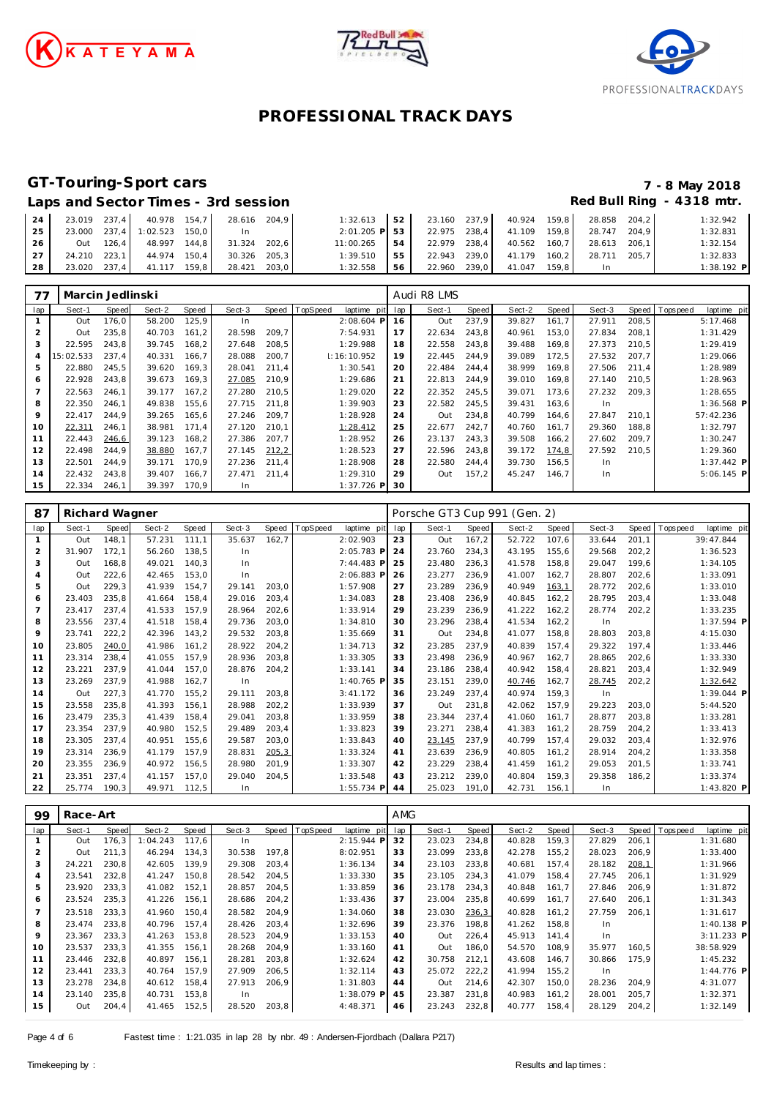





### **GT-Touring-Sport cars 7 - 8 May 2018**

#### Laps and Sector Times - 3rd session **Red Bull Ring - 4318 mtr. Red Bull Ring - 4318 mtr.**

| 24   |  | 23.019 237.4 40.978 154.7 28.616 204.9 |       | 1:32.613        | 52 |  | 23.160 237,9 40.924 159,8 | 28.858       | 204.2 | 1:32.942     |
|------|--|----------------------------------------|-------|-----------------|----|--|---------------------------|--------------|-------|--------------|
| 25   |  | 23.000 237,4 1:02.523 150,0            | In In | $2:01.205$ P 53 |    |  | 22.975 238,4 41.109 159,8 | 28.747 204.9 |       | 1:32.831     |
| 26 l |  | Out 126,4 48.997 144,8 31.324 202,6    |       | 11:00.265       | 54 |  | 22.979 238,4 40.562 160,7 | 28.613 206.1 |       | 1:32.154     |
| 27   |  | 24.210 223.1 44.974 150.4 30.326 205.3 |       | 1:39.510        | 55 |  | 22.943 239,0 41.179 160,2 | 28.711 205.7 |       | 1:32.833     |
| 28   |  | 23.020 237,4 41.117 159,8 28.421 203,0 |       | 1:32.558        | 56 |  | 22.960 239,0 41.047 159,8 | In.          |       | $1:38.192$ P |

| 77             | Marcin Jedlinski |       |        |       |        |       |          |              |     | Audi R8 LMS |        |        |       |        |       |            |              |
|----------------|------------------|-------|--------|-------|--------|-------|----------|--------------|-----|-------------|--------|--------|-------|--------|-------|------------|--------------|
| lap            | Sect-1           | Speed | Sect-2 | Speed | Sect-3 | Speed | TopSpeed | laptime pit  | lap | Sect-1      | Speed  | Sect-2 | Speed | Sect-3 | Speed | T ops peed | laptime pit  |
|                | Out              | 176,0 | 58.200 | 125,9 | In     |       |          | $2:08.604$ P | 16  | Out         | 237,9  | 39.827 | 161,7 | 27.911 | 208,5 |            | 5:17.468     |
| 2              | Out              | 235.8 | 40.703 | 161.2 | 28.598 | 209.7 |          | 7:54.931     | 17  | 22.634      | 243.8  | 40.961 | 153.0 | 27.834 | 208.1 |            | 1:31.429     |
| 3              | 22.595           | 243.8 | 39.745 | 168.2 | 27.648 | 208,5 |          | 1:29.988     | 18  | 22.558      | 243.8  | 39.488 | 169,8 | 27.373 | 210.5 |            | 1:29.419     |
| $\overline{4}$ | 15:02.533        | 237.4 | 40.331 | 166.7 | 28.088 | 200,7 |          | 1:16:10.952  | 19  | 22.445      | 244.9  | 39.089 | 172,5 | 27.532 | 207.7 |            | 1:29.066     |
| 5              | 22.880           | 245.5 | 39.620 | 169.3 | 28.041 | 211.4 |          | 1:30.541     | 20  | 22.484      | 244.4  | 38.999 | 169.8 | 27.506 | 211.4 |            | 1:28.989     |
| 6              | 22.928           | 243,8 | 39.673 | 169,3 | 27.085 | 210,9 |          | 1:29.686     | 21  | 22.813      | 244,9  | 39.010 | 169,8 | 27.140 | 210.5 |            | 1:28.963     |
| $\overline{7}$ | 22.563           | 246.1 | 39.177 | 167.2 | 27.280 | 210.5 |          | 1:29.020     | 22  | 22.352      | 245.5  | 39.071 | 173.6 | 27.232 | 209.3 |            | 1:28.655     |
| 8              | 22.350           | 246.1 | 49.838 | 155.6 | 27.715 | 211.8 |          | 1:39.903     | 23  | 22.582      | 245.5  | 39.431 | 163,6 | In.    |       |            | $1:36.568$ P |
| 9              | 22.417           | 244.9 | 39.265 | 165.6 | 27.246 | 209.7 |          | 1:28.928     | 24  | Out         | 234,8  | 40.799 | 164,6 | 27.847 | 210.1 |            | 57:42.236    |
| 10             | 22.311           | 246,1 | 38.981 | 171.4 | 27.120 | 210,1 |          | 1:28.412     | 25  | 22.677      | 242.7  | 40.760 | 161.7 | 29.360 | 188,8 |            | 1:32.797     |
| 11             | 22.443           | 246,6 | 39.123 | 168,2 | 27.386 | 207,7 |          | 1:28.952     | 26  | 23.137      | 243.3  | 39.508 | 166,2 | 27.602 | 209.7 |            | 1:30.247     |
| 12             | 22.498           | 244.9 | 38.880 | 167.7 | 27.145 | 212,2 |          | 1:28.523     | 27  | 22.596      | 243.8  | 39.172 | 174,8 | 27.592 | 210.5 |            | 1:29.360     |
| 13             | 22.501           | 244.9 | 39.171 | 170.9 | 27.236 | 211,4 |          | 1:28.908     | 28  | 22.580      | 244, 4 | 39.730 | 156,5 | In.    |       |            | $1:37.442$ P |
| 14             | 22.432           | 243,8 | 39.407 | 166.7 | 27.471 | 211,4 |          | 1:29.310     | 29  | Out         | 157.2  | 45.247 | 146.7 | In.    |       |            | $5:06.145$ P |
| 15             | 22.334           | 246.1 | 39.397 | 170.9 | In     |       |          | $1:37.726$ P | 30  |             |        |        |       |        |       |            |              |

| 87             | Richard Wagner |       |        |       |        |        |          |              | Porsche GT3 Cup 991 (Gen. 2) |        |       |        |        |        |        |             |              |
|----------------|----------------|-------|--------|-------|--------|--------|----------|--------------|------------------------------|--------|-------|--------|--------|--------|--------|-------------|--------------|
| lap            | Sect-1         | Speed | Sect-2 | Speed | Sect-3 | Speed  | TopSpeed | laptime pit  | lap                          | Sect-1 | Speed | Sect-2 | Speed  | Sect-3 | Speed  | T ops pee d | laptime pit  |
| 1              | Out            | 148,1 | 57.231 | 111.1 | 35.637 | 162,7  |          | 2:02.903     | 23                           | Out    | 167.2 | 52.722 | 107.6  | 33.644 | 201,1  |             | 39:47.844    |
| $\overline{2}$ | 31.907         | 172,1 | 56.260 | 138,5 | In.    |        |          | 2:05.783 P   | 24                           | 23.760 | 234,3 | 43.195 | 155,6  | 29.568 | 202, 2 |             | 1:36.523     |
| 3              | Out            | 168.8 | 49.021 | 140.3 | In.    |        |          | 7:44.483 P   | 25                           | 23.480 | 236.3 | 41.578 | 158.8  | 29.047 | 199.6  |             | 1:34.105     |
| 4              | Out            | 222,6 | 42.465 | 153.0 | In.    |        |          | 2:06.883 P   | 26                           | 23.277 | 236.9 | 41.007 | 162,7  | 28.807 | 202,6  |             | 1:33.091     |
| 5              | Out            | 229,3 | 41.939 | 154.7 | 29.141 | 203,0  |          | 1:57.908     | 27                           | 23.289 | 236,9 | 40.949 | 163,1  | 28.772 | 202,6  |             | 1:33.010     |
| 6              | 23.403         | 235.8 | 41.664 | 158.4 | 29.016 | 203,4  |          | 1:34.083     | 28                           | 23.408 | 236,9 | 40.845 | 162, 2 | 28.795 | 203,4  |             | 1:33.048     |
| $\overline{7}$ | 23.417         | 237,4 | 41.533 | 157,9 | 28.964 | 202,6  |          | 1:33.914     | 29                           | 23.239 | 236,9 | 41.222 | 162, 2 | 28.774 | 202,2  |             | 1:33.235     |
| 8              | 23.556         | 237,4 | 41.518 | 158,4 | 29.736 | 203,0  |          | 1:34.810     | 30                           | 23.296 | 238,4 | 41.534 | 162, 2 | In     |        |             | 1:37.594 P   |
| 9              | 23.741         | 222,2 | 42.396 | 143.2 | 29.532 | 203,8  |          | 1:35.669     | 31                           | Out    | 234,8 | 41.077 | 158,8  | 28.803 | 203,8  |             | 4:15.030     |
| 10             | 23.805         | 240,0 | 41.986 | 161.2 | 28.922 | 204,2  |          | 1:34.713     | 32                           | 23.285 | 237.9 | 40.839 | 157,4  | 29.322 | 197,4  |             | 1:33.446     |
| 11             | 23.314         | 238.4 | 41.055 | 157.9 | 28.936 | 203,8  |          | 1:33.305     | 33                           | 23.498 | 236,9 | 40.967 | 162,7  | 28.865 | 202,6  |             | 1:33.330     |
| 12             | 23.221         | 237.9 | 41.044 | 157.0 | 28.876 | 204,2  |          | 1:33.141     | 34                           | 23.186 | 238.4 | 40.942 | 158.4  | 28.821 | 203,4  |             | 1:32.949     |
| 13             | 23.269         | 237,9 | 41.988 | 162,7 | In     |        |          | 1:40.765 P   | 35                           | 23.151 | 239,0 | 40.746 | 162,7  | 28.745 | 202, 2 |             | 1:32.642     |
| 14             | Out            | 227,3 | 41.770 | 155.2 | 29.111 | 203,8  |          | 3:41.172     | 36                           | 23.249 | 237,4 | 40.974 | 159,3  | In     |        |             | $1:39.044$ P |
| 15             | 23.558         | 235.8 | 41.393 | 156.1 | 28.988 | 202, 2 |          | 1:33.939     | 37                           | Out    | 231.8 | 42.062 | 157.9  | 29.223 | 203.0  |             | 5:44.520     |
| 16             | 23.479         | 235,3 | 41.439 | 158.4 | 29.041 | 203,8  |          | 1:33.959     | 38                           | 23.344 | 237,4 | 41.060 | 161.7  | 28.877 | 203,8  |             | 1:33.281     |
| 17             | 23.354         | 237.9 | 40.980 | 152.5 | 29.489 | 203,4  |          | 1:33.823     | 39                           | 23.271 | 238.4 | 41.383 | 161,2  | 28.759 | 204,2  |             | 1:33.413     |
| 18             | 23.305         | 237.4 | 40.951 | 155.6 | 29.587 | 203,0  |          | 1:33.843     | 40                           | 23.145 | 237.9 | 40.799 | 157.4  | 29.032 | 203.4  |             | 1:32.976     |
| 19             | 23.314         | 236,9 | 41.179 | 157,9 | 28.831 | 205,3  |          | 1:33.324     | 41                           | 23.639 | 236,9 | 40.805 | 161,2  | 28.914 | 204, 2 |             | 1:33.358     |
| 20             | 23.355         | 236.9 | 40.972 | 156.5 | 28.980 | 201.9  |          | 1:33.307     | 42                           | 23.229 | 238,4 | 41.459 | 161,2  | 29.053 | 201.5  |             | 1:33.741     |
| 21             | 23.351         | 237.4 | 41.157 | 157.0 | 29.040 | 204.5  |          | 1:33.548     | 43                           | 23.212 | 239.0 | 40.804 | 159,3  | 29.358 | 186.2  |             | 1:33.374     |
| 22             | 25.774         | 190,3 | 49.971 | 112,5 | In     |        |          | $1:55.734$ P | 44                           | 25.023 | 191,0 | 42.731 | 156,1  | In     |        |             | 1:43.820 P   |

| 99             | Race-Art |       |          |       |        |       |                |              | <b>AMG</b> |        |       |        |       |        |       |                 |              |
|----------------|----------|-------|----------|-------|--------|-------|----------------|--------------|------------|--------|-------|--------|-------|--------|-------|-----------------|--------------|
| lap            | Sect-1   | Speed | Sect-2   | Speed | Sect-3 |       | Speed TopSpeed | laptime pit  | lap        | Sect-1 | Speed | Sect-2 | Speed | Sect-3 |       | Speed Tops peed | laptime pit  |
|                | Out      | 176,3 | 1:04.243 | 117.6 | In.    |       |                | $2:15.944$ P | 32         | 23.023 | 234,8 | 40.828 | 159,3 | 27.829 | 206,1 |                 | 1:31.680     |
|                | Out      | 211.3 | 46.294   | 134.3 | 30.538 | 197,8 |                | 8:02.951     | 33         | 23.099 | 233,8 | 42.278 | 155,2 | 28.023 | 206,9 |                 | 1:33.400     |
| 3              | 24.221   | 230.8 | 42.605   | 139.9 | 29.308 | 203,4 |                | 1:36.134     | 34         | 23.103 | 233.8 | 40.681 | 157.4 | 28.182 | 208,1 |                 | 1:31.966     |
| 4              | 23.541   | 232,8 | 41.247   | 150.8 | 28.542 | 204,5 |                | 1:33.330     | 35         | 23.105 | 234,3 | 41.079 | 158,4 | 27.745 | 206,1 |                 | 1:31.929     |
| 5              | 23.920   | 233,3 | 41.082   | 152,1 | 28.857 | 204,5 |                | 1:33.859     | 36         | 23.178 | 234,3 | 40.848 | 161.7 | 27.846 | 206,9 |                 | 1:31.872     |
| 6              | 23.524   | 235,3 | 41.226   | 156.1 | 28.686 | 204,2 |                | 1:33.436     | 37         | 23.004 | 235,8 | 40.699 | 161.7 | 27.640 | 206,1 |                 | 1:31.343     |
| $\overline{7}$ | 23.518   | 233.3 | 41.960   | 150.4 | 28.582 | 204,9 |                | 1:34.060     | 38         | 23.030 | 236,3 | 40.828 | 161,2 | 27.759 | 206.1 |                 | 1:31.617     |
| 8              | 23.474   | 233,8 | 40.796   | 157,4 | 28.426 | 203,4 |                | 1:32.696     | 39         | 23.376 | 198,8 | 41.262 | 158.8 | In.    |       |                 | $1:40.138$ P |
| 9              | 23.367   | 233,3 | 41.263   | 153,8 | 28.523 | 204,9 |                | 1:33.153     | 40         | Out    | 226,4 | 45.913 | 141.4 | In     |       |                 | 3:11.233 P   |
| 10             | 23.537   | 233,3 | 41.355   | 156.1 | 28.268 | 204,9 |                | 1:33.160     | 41         | Out    | 186,0 | 54.570 | 108.9 | 35.977 | 160,5 |                 | 38:58.929    |
| 11             | 23.446   | 232,8 | 40.897   | 156,1 | 28.281 | 203,8 |                | 1:32.624     | 42         | 30.758 | 212,1 | 43.608 | 146,7 | 30.866 | 175,9 |                 | 1:45.232     |
| 12             | 23.441   | 233,3 | 40.764   | 157.9 | 27.909 | 206,5 |                | 1:32.114     | 43         | 25.072 | 222,2 | 41.994 | 155,2 | In     |       |                 | 1:44.776 P   |
| 13             | 23.278   | 234.8 | 40.612   | 158.4 | 27.913 | 206,9 |                | 1:31.803     | 44         | Out    | 214,6 | 42.307 | 150,0 | 28.236 | 204,9 |                 | 4:31.077     |
| 14             | 23.140   | 235,8 | 40.731   | 153,8 | In     |       |                | 1:38.079 P   | 45         | 23.387 | 231,8 | 40.983 | 161,2 | 28.001 | 205,7 |                 | 1:32.371     |
| 15             | Out      | 204,4 | 41.465   | 152,5 | 28.520 | 203,8 |                | 4:48.371     | 46         | 23.243 | 232,8 | 40.777 | 158,4 | 28.129 | 204,2 |                 | 1:32.149     |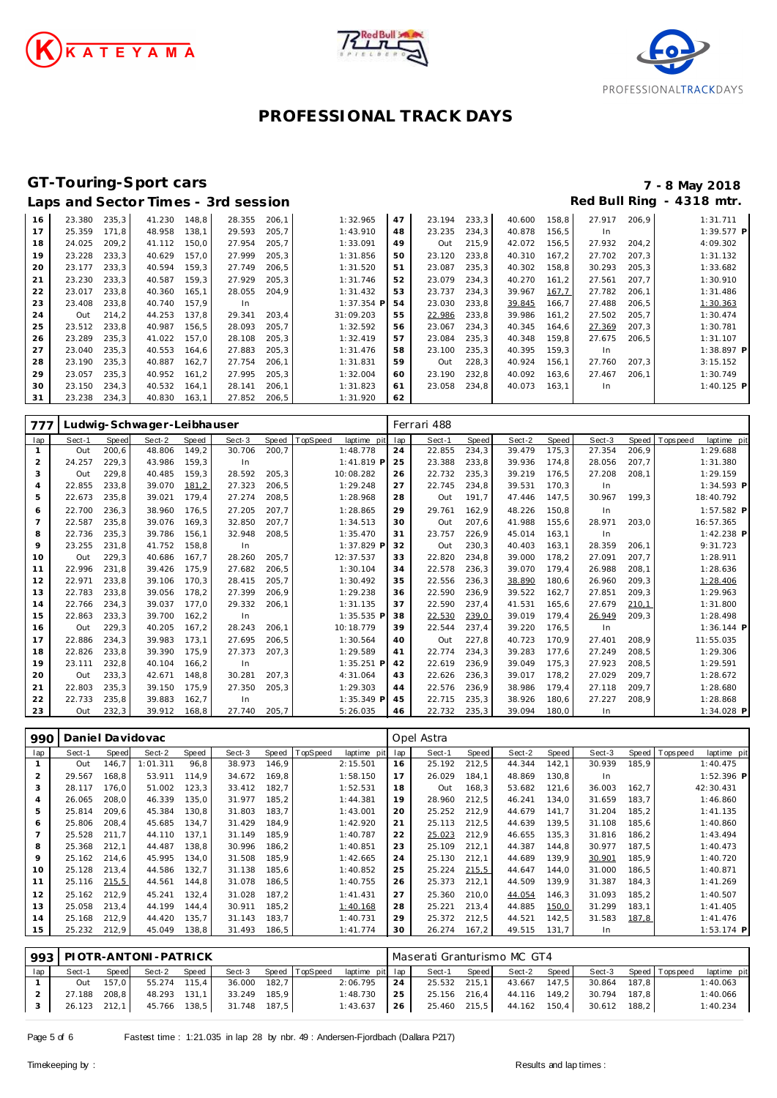





# **GT-Touring-Sport cars 7 - 8 May 2018**

|    |        |       |        |       | Laps and Sector Times - 3rd session |       |              |    |        |       |        |       | Red Bull Ring |       | - 4318 mtr. |
|----|--------|-------|--------|-------|-------------------------------------|-------|--------------|----|--------|-------|--------|-------|---------------|-------|-------------|
| 16 | 23.380 | 235,3 | 41.230 | 148.8 | 28.355                              | 206,1 | 1:32.965     | 47 | 23.194 | 233,3 | 40.600 | 158,8 | 27.917        | 206.9 | 1:31.711    |
| 17 | 25.359 | 171.8 | 48.958 | 138,1 | 29.593                              | 205,7 | 1:43.910     | 48 | 23.235 | 234,3 | 40.878 | 156,5 | In            |       | 1:39.577 P  |
| 18 | 24.025 | 209,2 | 41.112 | 150,0 | 27.954                              | 205,7 | 1:33.091     | 49 | Out    | 215,9 | 42.072 | 156,5 | 27.932        | 204,2 | 4:09.302    |
| 19 | 23.228 | 233,3 | 40.629 | 157.0 | 27.999                              | 205,3 | 1:31.856     | 50 | 23.120 | 233,8 | 40.310 | 167,2 | 27.702        | 207.3 | 1:31.132    |
| 20 | 23.177 | 233,3 | 40.594 | 159,3 | 27.749                              | 206,5 | 1:31.520     | 51 | 23.087 | 235,3 | 40.302 | 158,8 | 30.293        | 205,3 | 1:33.682    |
| 21 | 23.230 | 233,3 | 40.587 | 159.3 | 27.929                              | 205,3 | 1:31.746     | 52 | 23.079 | 234,3 | 40.270 | 161.2 | 27.561        | 207.7 | 1:30.910    |
| 22 | 23.017 | 233,8 | 40.360 | 165,1 | 28.055                              | 204,9 | 1:31.432     | 53 | 23.737 | 234,3 | 39.967 | 167,7 | 27.782        | 206,1 | 1:31.486    |
| 23 | 23.408 | 233,8 | 40.740 | 157.9 | In.                                 |       | $1:37.354$ P | 54 | 23.030 | 233,8 | 39.845 | 166,7 | 27.488        | 206,5 | 1:30.363    |
| 24 | Out    | 214,2 | 44.253 | 137.8 | 29.341                              | 203,4 | 31:09.203    | 55 | 22.986 | 233,8 | 39.986 | 161,2 | 27.502        | 205,7 | 1:30.474    |
| 25 | 23.512 | 233,8 | 40.987 | 156,5 | 28.093                              | 205,7 | 1:32.592     | 56 | 23.067 | 234,3 | 40.345 | 164,6 | 27.369        | 207,3 | 1:30.781    |
| 26 | 23.289 | 235,3 | 41.022 | 157,0 | 28.108                              | 205,3 | 1:32.419     | 57 | 23.084 | 235,3 | 40.348 | 159,8 | 27.675        | 206,5 | 1:31.107    |
| 27 | 23.040 | 235,3 | 40.553 | 164,6 | 27.883                              | 205,3 | 1:31.476     | 58 | 23.100 | 235,3 | 40.395 | 159,3 | In            |       | 1:38.897 P  |
| 28 | 23.190 | 235,3 | 40.887 | 162,7 | 27.754                              | 206,1 | 1:31.831     | 59 | Out    | 228,3 | 40.924 | 156,1 | 27.760        | 207,3 | 3:15.152    |
| 29 | 23.057 | 235,3 | 40.952 | 161,2 | 27.995                              | 205,3 | 1:32.004     | 60 | 23.190 | 232,8 | 40.092 | 163,6 | 27.467        | 206.1 | 1:30.749    |
| 30 | 23.150 | 234,3 | 40.532 | 164,1 | 28.141                              | 206,1 | 1:31.823     | 61 | 23.058 | 234,8 | 40.073 | 163,1 | In.           |       | 1:40.125 P  |
| 31 | 23.238 | 234,3 | 40.830 | 163,1 | 27.852                              | 206,5 | 1:31.920     | 62 |        |       |        |       |               |       |             |

| 777            | Ludwig-Schwager-Leibhauser |       |        |       |        |       |         |              |     | Ferrari 488 |       |        |       |        |       |            |              |  |
|----------------|----------------------------|-------|--------|-------|--------|-------|---------|--------------|-----|-------------|-------|--------|-------|--------|-------|------------|--------------|--|
| lap            | Sect-1                     | Speed | Sect-2 | Speed | Sect-3 | Speed | opSpeed | laptime pit  | lap | Sect-1      | Speed | Sect-2 | Speed | Sect-3 | Speed | T ops peed | laptime pit  |  |
| $\mathbf{1}$   | Out                        | 200.6 | 48.806 | 149,2 | 30.706 | 200,7 |         | 1:48.778     | 24  | 22.855      | 234,3 | 39.479 | 175,3 | 27.354 | 206,9 |            | 1:29.688     |  |
| 2              | 24.257                     | 229.3 | 43.986 | 159,3 | In     |       |         | $1:41.819$ P | 25  | 23.388      | 233,8 | 39.936 | 174,8 | 28.056 | 207,7 |            | 1:31.380     |  |
| 3              | Out                        | 229.8 | 40.485 | 159,3 | 28.592 | 205,3 |         | 10:08.282    | 26  | 22.732      | 235,3 | 39.219 | 176,5 | 27.208 | 208,1 |            | 1:29.159     |  |
| $\overline{4}$ | 22.855                     | 233.8 | 39.070 | 181,2 | 27.323 | 206,5 |         | 1:29.248     | 27  | 22.745      | 234,8 | 39.531 | 170,3 | In     |       |            | 1:34.593 P   |  |
| 5              | 22.673                     | 235,8 | 39.021 | 179,4 | 27.274 | 208,5 |         | 1:28.968     | 28  | Out         | 191.7 | 47.446 | 147,5 | 30.967 | 199.3 |            | 18:40.792    |  |
| 6              | 22.700                     | 236.3 | 38.960 | 176,5 | 27.205 | 207,7 |         | 1:28.865     | 29  | 29.761      | 162,9 | 48.226 | 150,8 | In     |       |            | $1:57.582$ P |  |
| $\overline{7}$ | 22.587                     | 235.8 | 39.076 | 169.3 | 32.850 | 207.7 |         | 1:34.513     | 30  | Out         | 207.6 | 41.988 | 155,6 | 28.971 | 203.0 |            | 16:57.365    |  |
| 8              | 22.736                     | 235.3 | 39.786 | 156.1 | 32.948 | 208,5 |         | 1:35.470     | 31  | 23.757      | 226,9 | 45.014 | 163,1 | In     |       |            | $1:42.238$ P |  |
| 9              | 23.255                     | 231.8 | 41.752 | 158.8 | In.    |       |         | 1:37.829 P   | 32  | Out         | 230.3 | 40.403 | 163,1 | 28.359 | 206.1 |            | 9:31.723     |  |
| 10             | Out                        | 229.3 | 40.686 | 167.7 | 28.260 | 205.7 |         | 12:37.537    | 33  | 22.820      | 234.8 | 39.000 | 178,2 | 27.091 | 207.7 |            | 1:28.911     |  |
| 11             | 22.996                     | 231.8 | 39.426 | 175.9 | 27.682 | 206,5 |         | 1:30.104     | 34  | 22.578      | 236,3 | 39.070 | 179,4 | 26.988 | 208,1 |            | 1:28.636     |  |
| 12             | 22.971                     | 233.8 | 39.106 | 170.3 | 28.415 | 205.7 |         | 1:30.492     | 35  | 22.556      | 236,3 | 38.890 | 180,6 | 26.960 | 209.3 |            | 1:28.406     |  |
| 13             | 22.783                     | 233,8 | 39.056 | 178,2 | 27.399 | 206,9 |         | 1:29.238     | 36  | 22.590      | 236,9 | 39.522 | 162,7 | 27.851 | 209,3 |            | 1:29.963     |  |
| 14             | 22.766                     | 234.3 | 39.037 | 177.0 | 29.332 | 206,1 |         | 1:31.135     | 37  | 22.590      | 237,4 | 41.531 | 165,6 | 27.679 | 210,1 |            | 1:31.800     |  |
| 15             | 22.863                     | 233.3 | 39.700 | 162,2 | In.    |       |         | $1:35.535$ P | 38  | 22.530      | 239,0 | 39.019 | 179,4 | 26.949 | 209,3 |            | 1:28.498     |  |
| 16             | Out                        | 229,3 | 40.205 | 167,2 | 28.243 | 206.1 |         | 10:18.779    | 39  | 22.544      | 237.4 | 39.220 | 176,5 | In     |       |            | $1:36.144$ P |  |
| 17             | 22.886                     | 234.3 | 39.983 | 173.1 | 27.695 | 206.5 |         | 1:30.564     | 40  | Out         | 227.8 | 40.723 | 170.9 | 27.401 | 208.9 |            | 11:55.035    |  |
| 18             | 22.826                     | 233.8 | 39.390 | 175.9 | 27.373 | 207,3 |         | 1:29.589     | 41  | 22.774      | 234,3 | 39.283 | 177.6 | 27.249 | 208,5 |            | 1:29.306     |  |
| 19             | 23.111                     | 232,8 | 40.104 | 166,2 | In.    |       |         | 1:35.251 P   | 42  | 22.619      | 236,9 | 39.049 | 175,3 | 27.923 | 208,5 |            | 1:29.591     |  |
| 20             | Out                        | 233.3 | 42.671 | 148.8 | 30.281 | 207.3 |         | 4:31.064     | 43  | 22.626      | 236.3 | 39.017 | 178,2 | 27.029 | 209.7 |            | 1:28.672     |  |
| 21             | 22.803                     | 235.3 | 39.150 | 175,9 | 27.350 | 205,3 |         | 1:29.303     | 44  | 22.576      | 236.9 | 38.986 | 179,4 | 27.118 | 209,7 |            | 1:28.680     |  |
| 22             | 22.733                     | 235.8 | 39.883 | 162.7 | In.    |       |         | $1:35.349$ P | 45  | 22.715      | 235.3 | 38.926 | 180,6 | 27.227 | 208,9 |            | 1:28.868     |  |
| 23             | Out                        | 232,3 | 39.912 | 168.8 | 27.740 | 205.7 |         | 5:26.035     | 46  | 22.732      | 235.3 | 39.094 | 180.0 | In     |       |            | $1:34.028$ P |  |

| 990 | Daniel Davidovac |       |          |       |        |       |                 |             | Opel Astra |        |       |        |       |        |       |                 |              |
|-----|------------------|-------|----------|-------|--------|-------|-----------------|-------------|------------|--------|-------|--------|-------|--------|-------|-----------------|--------------|
| lap | Sect-1           | Speed | Sect-2   | Speed | Sect-3 | Speed | <b>TopSpeed</b> | laptime pit | lap        | Sect-1 | Speed | Sect-2 | Speed | Sect-3 |       | Speed Tops peed | laptime pit  |
|     | Out              | 146,7 | 1:01.311 | 96,8  | 38.973 | 146,9 |                 | 2:15.501    | 16         | 25.192 | 212,5 | 44.344 | 142,1 | 30.939 | 185,9 |                 | 1:40.475     |
| 2   | 29.567           | 168.8 | 53.911   | 114.9 | 34.672 | 169,8 |                 | 1:58.150    | 17         | 26.029 | 184,1 | 48.869 | 130,8 | In     |       |                 | 1:52.396 P   |
| 3   | 28.117           | 176.0 | 51.002   | 123,3 | 33.412 | 182,7 |                 | 1:52.531    | 18         | Out    | 168,3 | 53.682 | 121,6 | 36.003 | 162,7 |                 | 42:30.431    |
| 4   | 26.065           | 208.0 | 46.339   | 135.0 | 31.977 | 185,2 |                 | 1:44.381    | 19         | 28.960 | 212,5 | 46.241 | 134,0 | 31.659 | 183,7 |                 | 1:46.860     |
| 5   | 25.814           | 209.6 | 45.384   | 130,8 | 31.803 | 183,7 |                 | 1:43.001    | 20         | 25.252 | 212,9 | 44.679 | 141,7 | 31.204 | 185,2 |                 | 1:41.135     |
| 6   | 25.806           | 208,4 | 45.685   | 134,7 | 31.429 | 184,9 |                 | 1:42.920    | 21         | 25.113 | 212,5 | 44.639 | 139,5 | 31.108 | 185,6 |                 | 1:40.860     |
|     | 25.528           | 211.7 | 44.110   | 137.1 | 31.149 | 185.9 |                 | 1:40.787    | 22         | 25.023 | 212.9 | 46.655 | 135.3 | 31.816 | 186,2 |                 | 1:43.494     |
| 8   | 25.368           | 212.1 | 44.487   | 138.8 | 30.996 | 186,2 |                 | 1:40.851    | 23         | 25.109 | 212.1 | 44.387 | 144.8 | 30.977 | 187,5 |                 | 1:40.473     |
| 9   | 25.162           | 214.6 | 45.995   | 134.0 | 31.508 | 185,9 |                 | 1:42.665    | 24         | 25.130 | 212,1 | 44.689 | 139.9 | 30.901 | 185,9 |                 | 1:40.720     |
| 10  | 25.128           | 213.4 | 44.586   | 132.7 | 31.138 | 185,6 |                 | 1:40.852    | 25         | 25.224 | 215,5 | 44.647 | 144.0 | 31.000 | 186,5 |                 | 1:40.871     |
| 11  | 25.116           | 215,5 | 44.561   | 144.8 | 31.078 | 186,5 |                 | 1:40.755    | 26         | 25.373 | 212,1 | 44.509 | 139,9 | 31.387 | 184,3 |                 | 1:41.269     |
| 12  | 25.162           | 212.9 | 45.241   | 132,4 | 31.028 | 187,2 |                 | 1:41.431    | 27         | 25.360 | 210.0 | 44.054 | 146,3 | 31.093 | 185,2 |                 | 1:40.507     |
| 13  | 25.058           | 213,4 | 44.199   | 144,4 | 30.911 | 185,2 |                 | 1:40.168    | 28         | 25.221 | 213,4 | 44.885 | 150,0 | 31.299 | 183,1 |                 | 1:41.405     |
| 14  | 25.168           | 212,9 | 44.420   | 135,7 | 31.143 | 183,7 |                 | 1:40.731    | 29         | 25.372 | 212,5 | 44.521 | 142,5 | 31.583 | 187,8 |                 | 1:41.476     |
| 15  | 25.232           | 212,9 | 45.049   | 138,8 | 31.493 | 186,5 |                 | 1:41.774    | 30         | 26.274 | 167,2 | 49.515 | 131,7 | In.    |       |                 | $1:53.174$ P |

|     | $993$ PIOTR-ANTONI-PATRICK |           |              |       |              |  |                       |                 | Maserati Granturismo MC GT4 |              |       |                           |  |                |  |                       |             |  |  |
|-----|----------------------------|-----------|--------------|-------|--------------|--|-----------------------|-----------------|-----------------------------|--------------|-------|---------------------------|--|----------------|--|-----------------------|-------------|--|--|
| lap | Sect-1                     | Speed     | Sect-2       | Speed |              |  | Sect-3 Speed TopSpeed | laptime pit lap |                             | Sect-1       | Speed | Sect-2 Speed              |  |                |  | Sect-3 Speed Topspeed | laptime pit |  |  |
|     |                            | Out 157.0 | 55.274 115,4 |       | 36.000 182,7 |  |                       | 2:06.795        | 24                          | 25.532 215,1 |       | 43.667 147,5              |  | 30.864 187,8   |  |                       | 1:40.063    |  |  |
|     | 27.188 208,8               |           | 48.293 131.1 |       | 33.249 185.9 |  |                       | 1:48.730        | 25                          |              |       | 25.156 216.4 44.116 149.2 |  | 30.794 187.8   |  |                       | 1:40.066    |  |  |
|     | 26.123 212,1               |           | 45.766 138,5 |       | 31.748 187.5 |  |                       | 1:43.637        | 26                          | 25.460 215,5 |       | 44.162 150,4              |  | $30.612$ 188.2 |  |                       | 1:40.234    |  |  |